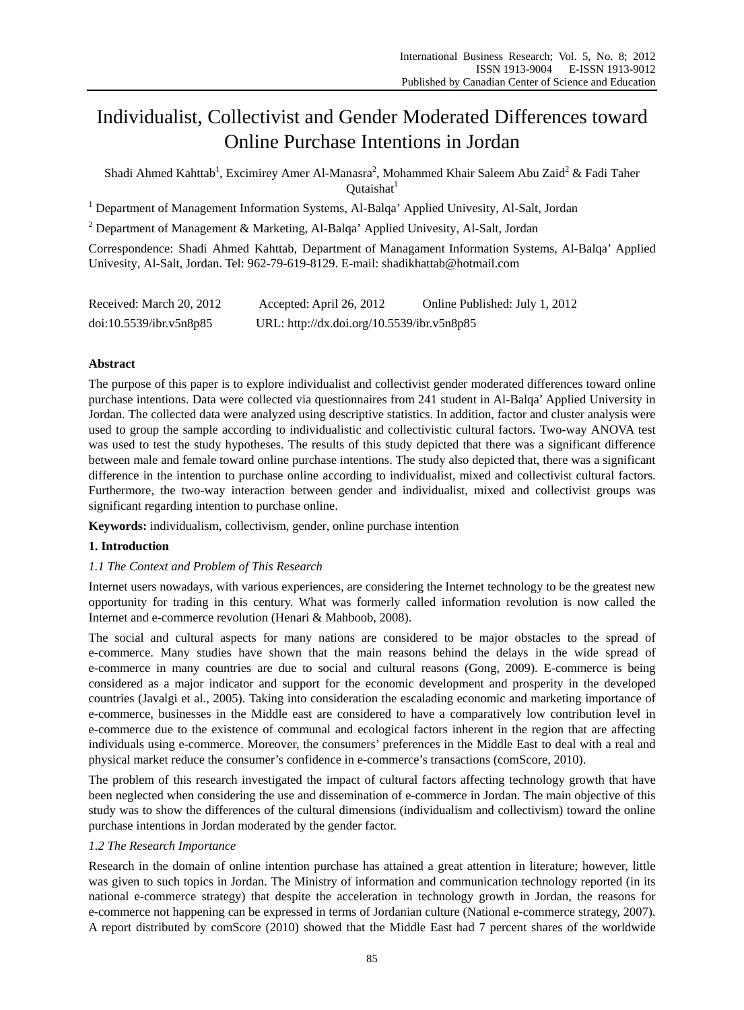# Individualist, Collectivist and Gender Moderated Differences toward Online Purchase Intentions in Jordan

Shadi Ahmed Kahttab<sup>1</sup>, Excimirey Amer Al-Manasra<sup>2</sup>, Mohammed Khair Saleem Abu Zaid<sup>2</sup> & Fadi Taher Outaishat $<sup>1</sup>$ </sup>

<sup>1</sup> Department of Management Information Systems, Al-Balqa' Applied Univesity, Al-Salt, Jordan

<sup>2</sup> Department of Management & Marketing, Al-Balqa' Applied Univesity, Al-Salt, Jordan

Correspondence: Shadi Ahmed Kahttab, Department of Managament Information Systems, Al-Balqa' Applied Univesity, Al-Salt, Jordan. Tel: 962-79-619-8129. E-mail: shadikhattab@hotmail.com

| Received: March 20, 2012 | Accepted: April 26, 2012                   | Online Published: July 1, 2012 |
|--------------------------|--------------------------------------------|--------------------------------|
| doi:10.5539/ibr.v5n8p85  | URL: http://dx.doi.org/10.5539/ibr.v5n8p85 |                                |

# **Abstract**

The purpose of this paper is to explore individualist and collectivist gender moderated differences toward online purchase intentions. Data were collected via questionnaires from 241 student in Al-Balqa' Applied University in Jordan. The collected data were analyzed using descriptive statistics. In addition, factor and cluster analysis were used to group the sample according to individualistic and collectivistic cultural factors. Two-way ANOVA test was used to test the study hypotheses. The results of this study depicted that there was a significant difference between male and female toward online purchase intentions. The study also depicted that, there was a significant difference in the intention to purchase online according to individualist, mixed and collectivist cultural factors. Furthermore, the two-way interaction between gender and individualist, mixed and collectivist groups was significant regarding intention to purchase online.

**Keywords:** individualism, collectivism, gender, online purchase intention

# **1. Introduction**

# *1.1 The Context and Problem of This Research*

Internet users nowadays, with various experiences, are considering the Internet technology to be the greatest new opportunity for trading in this century. What was formerly called information revolution is now called the Internet and e-commerce revolution (Henari & Mahboob, 2008).

The social and cultural aspects for many nations are considered to be major obstacles to the spread of e-commerce. Many studies have shown that the main reasons behind the delays in the wide spread of e-commerce in many countries are due to social and cultural reasons (Gong, 2009). E-commerce is being considered as a major indicator and support for the economic development and prosperity in the developed countries (Javalgi et al., 2005). Taking into consideration the escalading economic and marketing importance of e-commerce, businesses in the Middle east are considered to have a comparatively low contribution level in e-commerce due to the existence of communal and ecological factors inherent in the region that are affecting individuals using e-commerce. Moreover, the consumers' preferences in the Middle East to deal with a real and physical market reduce the consumer's confidence in e-commerce's transactions (comScore, 2010).

The problem of this research investigated the impact of cultural factors affecting technology growth that have been neglected when considering the use and dissemination of e-commerce in Jordan. The main objective of this study was to show the differences of the cultural dimensions (individualism and collectivism) toward the online purchase intentions in Jordan moderated by the gender factor.

# *1.2 The Research Importance*

Research in the domain of online intention purchase has attained a great attention in literature; however, little was given to such topics in Jordan. The Ministry of information and communication technology reported (in its national e-commerce strategy) that despite the acceleration in technology growth in Jordan, the reasons for e-commerce not happening can be expressed in terms of Jordanian culture (National e-commerce strategy, 2007). A report distributed by comScore (2010) showed that the Middle East had 7 percent shares of the worldwide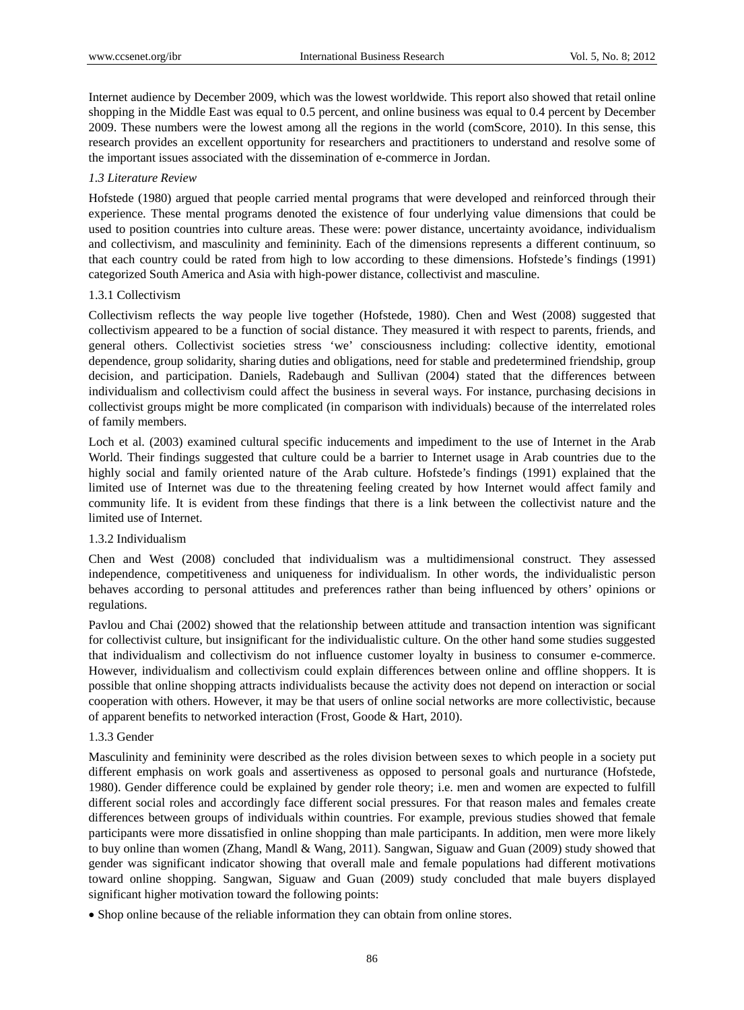Internet audience by December 2009, which was the lowest worldwide. This report also showed that retail online shopping in the Middle East was equal to 0.5 percent, and online business was equal to 0.4 percent by December 2009. These numbers were the lowest among all the regions in the world (comScore, 2010). In this sense, this research provides an excellent opportunity for researchers and practitioners to understand and resolve some of the important issues associated with the dissemination of e-commerce in Jordan.

### *1.3 Literature Review*

Hofstede (1980) argued that people carried mental programs that were developed and reinforced through their experience. These mental programs denoted the existence of four underlying value dimensions that could be used to position countries into culture areas. These were: power distance, uncertainty avoidance, individualism and collectivism, and masculinity and femininity. Each of the dimensions represents a different continuum, so that each country could be rated from high to low according to these dimensions. Hofstede's findings (1991) categorized South America and Asia with high-power distance, collectivist and masculine.

## 1.3.1 Collectivism

Collectivism reflects the way people live together (Hofstede, 1980). Chen and West (2008) suggested that collectivism appeared to be a function of social distance. They measured it with respect to parents, friends, and general others. Collectivist societies stress 'we' consciousness including: collective identity, emotional dependence, group solidarity, sharing duties and obligations, need for stable and predetermined friendship, group decision, and participation. Daniels, Radebaugh and Sullivan (2004) stated that the differences between individualism and collectivism could affect the business in several ways. For instance, purchasing decisions in collectivist groups might be more complicated (in comparison with individuals) because of the interrelated roles of family members.

Loch et al. (2003) examined cultural specific inducements and impediment to the use of Internet in the Arab World. Their findings suggested that culture could be a barrier to Internet usage in Arab countries due to the highly social and family oriented nature of the Arab culture. Hofstede's findings (1991) explained that the limited use of Internet was due to the threatening feeling created by how Internet would affect family and community life. It is evident from these findings that there is a link between the collectivist nature and the limited use of Internet.

### 1.3.2 Individualism

Chen and West (2008) concluded that individualism was a multidimensional construct. They assessed independence, competitiveness and uniqueness for individualism. In other words, the individualistic person behaves according to personal attitudes and preferences rather than being influenced by others' opinions or regulations.

Pavlou and Chai (2002) showed that the relationship between attitude and transaction intention was significant for collectivist culture, but insignificant for the individualistic culture. On the other hand some studies suggested that individualism and collectivism do not influence customer loyalty in business to consumer e-commerce. However, individualism and collectivism could explain differences between online and offline shoppers. It is possible that online shopping attracts individualists because the activity does not depend on interaction or social cooperation with others. However, it may be that users of online social networks are more collectivistic, because of apparent benefits to networked interaction (Frost, Goode & Hart, 2010).

# 1.3.3 Gender

Masculinity and femininity were described as the roles division between sexes to which people in a society put different emphasis on work goals and assertiveness as opposed to personal goals and nurturance (Hofstede, 1980). Gender difference could be explained by gender role theory; i.e. men and women are expected to fulfill different social roles and accordingly face different social pressures. For that reason males and females create differences between groups of individuals within countries. For example, previous studies showed that female participants were more dissatisfied in online shopping than male participants. In addition, men were more likely to buy online than women (Zhang, Mandl & Wang, 2011). Sangwan, Siguaw and Guan (2009) study showed that gender was significant indicator showing that overall male and female populations had different motivations toward online shopping. Sangwan, Siguaw and Guan (2009) study concluded that male buyers displayed significant higher motivation toward the following points:

Shop online because of the reliable information they can obtain from online stores.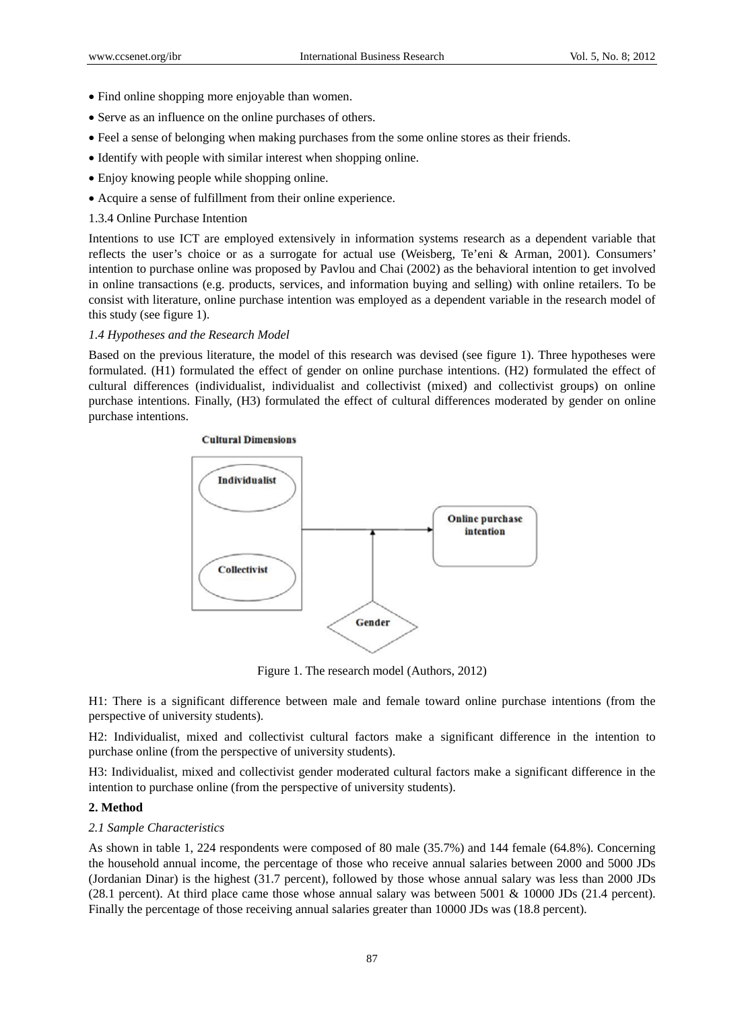- Find online shopping more enjoyable than women.
- Serve as an influence on the online purchases of others.
- Feel a sense of belonging when making purchases from the some online stores as their friends.
- Identify with people with similar interest when shopping online.
- Enjoy knowing people while shopping online.
- Acquire a sense of fulfillment from their online experience.
- 1.3.4 Online Purchase Intention

Intentions to use ICT are employed extensively in information systems research as a dependent variable that reflects the user's choice or as a surrogate for actual use (Weisberg, Te'eni & Arman, 2001). Consumers' intention to purchase online was proposed by Pavlou and Chai (2002) as the behavioral intention to get involved in online transactions (e.g. products, services, and information buying and selling) with online retailers. To be consist with literature, online purchase intention was employed as a dependent variable in the research model of this study (see figure 1).

# *1.4 Hypotheses and the Research Model*

Based on the previous literature, the model of this research was devised (see figure 1). Three hypotheses were formulated. (H1) formulated the effect of gender on online purchase intentions. (H2) formulated the effect of cultural differences (individualist, individualist and collectivist (mixed) and collectivist groups) on online purchase intentions. Finally, (H3) formulated the effect of cultural differences moderated by gender on online purchase intentions.



Figure 1. The research model (Authors, 2012)

H1: There is a significant difference between male and female toward online purchase intentions (from the perspective of university students).

H2: Individualist, mixed and collectivist cultural factors make a significant difference in the intention to purchase online (from the perspective of university students).

H3: Individualist, mixed and collectivist gender moderated cultural factors make a significant difference in the intention to purchase online (from the perspective of university students).

# **2. Method**

# *2.1 Sample Characteristics*

As shown in table 1, 224 respondents were composed of 80 male (35.7%) and 144 female (64.8%). Concerning the household annual income, the percentage of those who receive annual salaries between 2000 and 5000 JDs (Jordanian Dinar) is the highest (31.7 percent), followed by those whose annual salary was less than 2000 JDs (28.1 percent). At third place came those whose annual salary was between 5001 & 10000 JDs (21.4 percent). Finally the percentage of those receiving annual salaries greater than 10000 JDs was (18.8 percent).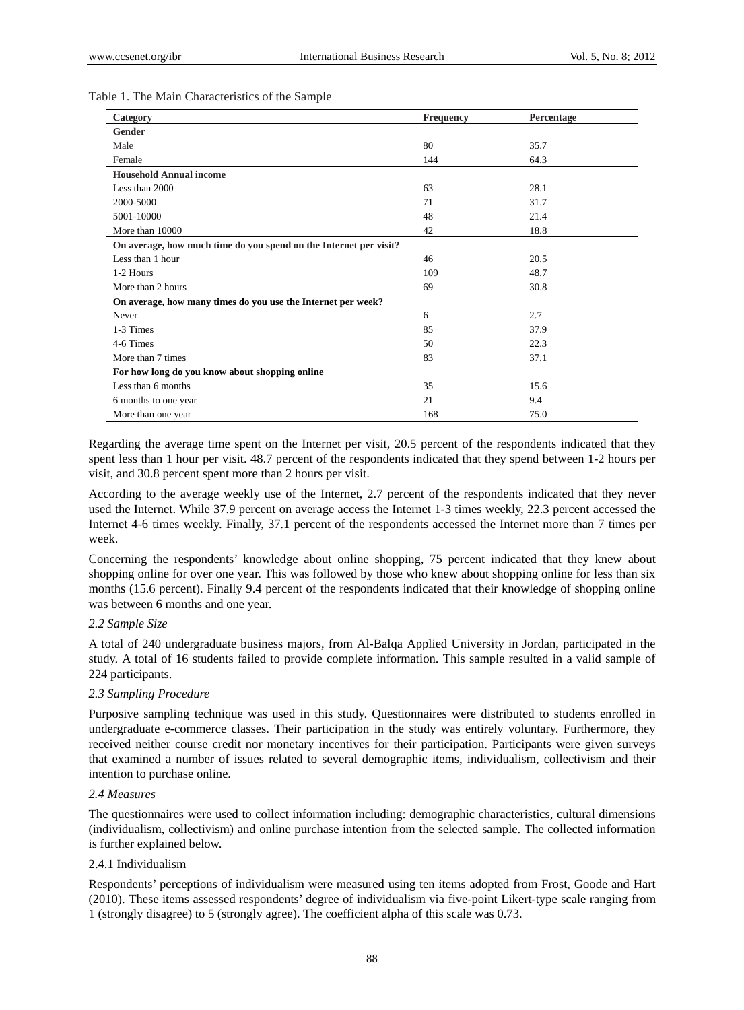| Category                                                          | <b>Frequency</b> | Percentage |
|-------------------------------------------------------------------|------------------|------------|
| Gender                                                            |                  |            |
| Male                                                              | 80               | 35.7       |
| Female                                                            | 144              | 64.3       |
| <b>Household Annual income</b>                                    |                  |            |
| Less than 2000                                                    | 63               | 28.1       |
| 2000-5000                                                         | 71               | 31.7       |
| 5001-10000                                                        | 48               | 21.4       |
| More than 10000                                                   | 42               | 18.8       |
| On average, how much time do you spend on the Internet per visit? |                  |            |
| Less than 1 hour                                                  | 46               | 20.5       |
| 1-2 Hours                                                         | 109              | 48.7       |
| More than 2 hours                                                 | 69               | 30.8       |
| On average, how many times do you use the Internet per week?      |                  |            |
| Never                                                             | 6                | 2.7        |
| 1-3 Times                                                         | 85               | 37.9       |
| 4-6 Times                                                         | 50               | 22.3       |
| More than 7 times                                                 | 83               | 37.1       |
| For how long do you know about shopping online                    |                  |            |
| Less than 6 months                                                | 35               | 15.6       |
| 6 months to one year                                              | 21               | 9.4        |
| More than one year                                                | 168              | 75.0       |

#### Table 1. The Main Characteristics of the Sample

Regarding the average time spent on the Internet per visit, 20.5 percent of the respondents indicated that they spent less than 1 hour per visit. 48.7 percent of the respondents indicated that they spend between 1-2 hours per visit, and 30.8 percent spent more than 2 hours per visit.

According to the average weekly use of the Internet, 2.7 percent of the respondents indicated that they never used the Internet. While 37.9 percent on average access the Internet 1-3 times weekly, 22.3 percent accessed the Internet 4-6 times weekly. Finally, 37.1 percent of the respondents accessed the Internet more than 7 times per week.

Concerning the respondents' knowledge about online shopping, 75 percent indicated that they knew about shopping online for over one year. This was followed by those who knew about shopping online for less than six months (15.6 percent). Finally 9.4 percent of the respondents indicated that their knowledge of shopping online was between 6 months and one year.

### *2.2 Sample Size*

A total of 240 undergraduate business majors, from Al-Balqa Applied University in Jordan, participated in the study. A total of 16 students failed to provide complete information. This sample resulted in a valid sample of 224 participants.

## *2.3 Sampling Procedure*

Purposive sampling technique was used in this study. Questionnaires were distributed to students enrolled in undergraduate e-commerce classes. Their participation in the study was entirely voluntary. Furthermore, they received neither course credit nor monetary incentives for their participation. Participants were given surveys that examined a number of issues related to several demographic items, individualism, collectivism and their intention to purchase online.

### *2.4 Measures*

The questionnaires were used to collect information including: demographic characteristics, cultural dimensions (individualism, collectivism) and online purchase intention from the selected sample. The collected information is further explained below.

## 2.4.1 Individualism

Respondents' perceptions of individualism were measured using ten items adopted from Frost, Goode and Hart (2010). These items assessed respondents' degree of individualism via five-point Likert-type scale ranging from 1 (strongly disagree) to 5 (strongly agree). The coefficient alpha of this scale was 0.73.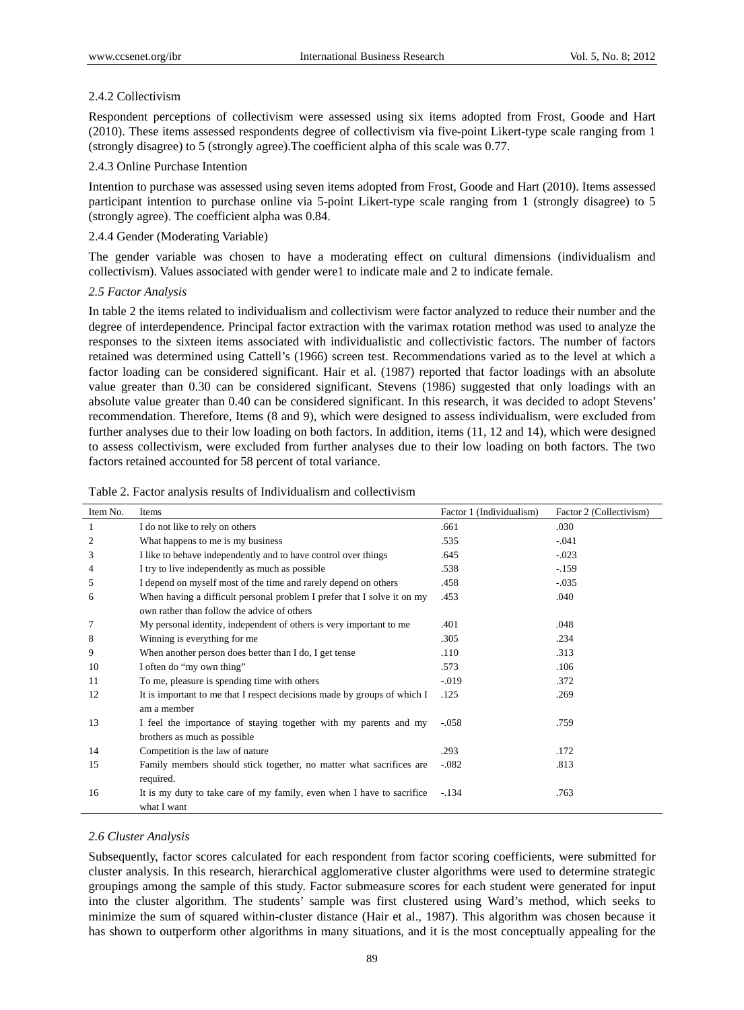## 2.4.2 Collectivism

Respondent perceptions of collectivism were assessed using six items adopted from Frost, Goode and Hart (2010). These items assessed respondents degree of collectivism via five-point Likert-type scale ranging from 1 (strongly disagree) to 5 (strongly agree).The coefficient alpha of this scale was 0.77.

# 2.4.3 Online Purchase Intention

Intention to purchase was assessed using seven items adopted from Frost, Goode and Hart (2010). Items assessed participant intention to purchase online via 5-point Likert-type scale ranging from 1 (strongly disagree) to 5 (strongly agree). The coefficient alpha was 0.84.

## 2.4.4 Gender (Moderating Variable)

The gender variable was chosen to have a moderating effect on cultural dimensions (individualism and collectivism). Values associated with gender were1 to indicate male and 2 to indicate female.

### *2.5 Factor Analysis*

In table 2 the items related to individualism and collectivism were factor analyzed to reduce their number and the degree of interdependence. Principal factor extraction with the varimax rotation method was used to analyze the responses to the sixteen items associated with individualistic and collectivistic factors. The number of factors retained was determined using Cattell's (1966) screen test. Recommendations varied as to the level at which a factor loading can be considered significant. Hair et al. (1987) reported that factor loadings with an absolute value greater than 0.30 can be considered significant. Stevens (1986) suggested that only loadings with an absolute value greater than 0.40 can be considered significant. In this research, it was decided to adopt Stevens' recommendation. Therefore, Items (8 and 9), which were designed to assess individualism, were excluded from further analyses due to their low loading on both factors. In addition, items (11, 12 and 14), which were designed to assess collectivism, were excluded from further analyses due to their low loading on both factors. The two factors retained accounted for 58 percent of total variance.

| Item No. | Items                                                                    | Factor 1 (Individualism) | Factor 2 (Collectivism) |
|----------|--------------------------------------------------------------------------|--------------------------|-------------------------|
| 1        | I do not like to rely on others                                          | .661                     | .030                    |
| 2        | What happens to me is my business                                        | .535                     | $-.041$                 |
| 3        | I like to behave independently and to have control over things           | .645                     | $-.023$                 |
| 4        | I try to live independently as much as possible                          | .538                     | $-.159$                 |
| 5        | I depend on myself most of the time and rarely depend on others          | .458                     | $-.035$                 |
| 6        | When having a difficult personal problem I prefer that I solve it on my  | .453                     | .040                    |
|          | own rather than follow the advice of others                              |                          |                         |
| 7        | My personal identity, independent of others is very important to me      | .401                     | .048                    |
| 8        | Winning is everything for me                                             | .305                     | .234                    |
| 9        | When another person does better than I do, I get tense                   | .110                     | .313                    |
| 10       | I often do "my own thing"                                                | .573                     | .106                    |
| 11       | To me, pleasure is spending time with others                             | $-0.019$                 | .372                    |
| 12       | It is important to me that I respect decisions made by groups of which I | .125                     | .269                    |
|          | am a member                                                              |                          |                         |
| 13       | I feel the importance of staying together with my parents and my         | $-.058$                  | .759                    |
|          | brothers as much as possible                                             |                          |                         |
| 14       | Competition is the law of nature                                         | .293                     | .172                    |
| 15       | Family members should stick together, no matter what sacrifices are      | $-.082$                  | .813                    |
|          | required.                                                                |                          |                         |
| 16       | It is my duty to take care of my family, even when I have to sacrifice   | $-.134$                  | .763                    |
|          | what I want                                                              |                          |                         |

### Table 2. Factor analysis results of Individualism and collectivism

### *2.6 Cluster Analysis*

Subsequently, factor scores calculated for each respondent from factor scoring coefficients, were submitted for cluster analysis. In this research, hierarchical agglomerative cluster algorithms were used to determine strategic groupings among the sample of this study. Factor submeasure scores for each student were generated for input into the cluster algorithm. The students' sample was first clustered using Ward's method, which seeks to minimize the sum of squared within-cluster distance (Hair et al., 1987). This algorithm was chosen because it has shown to outperform other algorithms in many situations, and it is the most conceptually appealing for the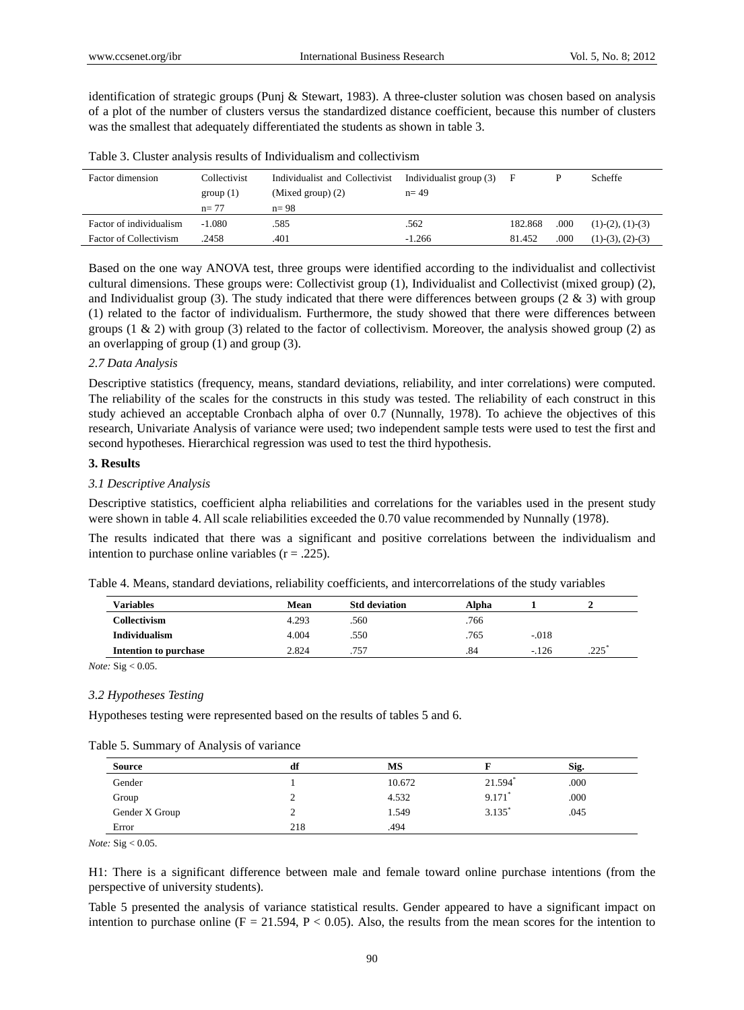identification of strategic groups (Punj & Stewart, 1983). A three-cluster solution was chosen based on analysis of a plot of the number of clusters versus the standardized distance coefficient, because this number of clusters was the smallest that adequately differentiated the students as shown in table 3.

| Factor dimension                                         | Collectivist<br>group(1)    | Individualist and Collectivist<br>(Mixed group) $(2)$ | Individualist group (3)<br>$n = 49$ | F                 |              | Scheffe                                     |
|----------------------------------------------------------|-----------------------------|-------------------------------------------------------|-------------------------------------|-------------------|--------------|---------------------------------------------|
| Factor of individualism<br><b>Factor of Collectivism</b> | $n = 77$<br>-1.080<br>.2458 | $n=98$<br>585<br>.401                                 | .562<br>$-1.266$                    | 182.868<br>81.452 | .000<br>.000 | $(1)-(2)$ , $(1)-(3)$<br>$(1)-(3), (2)-(3)$ |

Table 3. Cluster analysis results of Individualism and collectivism

Based on the one way ANOVA test, three groups were identified according to the individualist and collectivist cultural dimensions. These groups were: Collectivist group (1), Individualist and Collectivist (mixed group) (2), and Individualist group (3). The study indicated that there were differences between groups (2  $\&$  3) with group (1) related to the factor of individualism. Furthermore, the study showed that there were differences between groups (1  $\&$  2) with group (3) related to the factor of collectivism. Moreover, the analysis showed group (2) as an overlapping of group (1) and group (3).

#### *2.7 Data Analysis*

Descriptive statistics (frequency, means, standard deviations, reliability, and inter correlations) were computed. The reliability of the scales for the constructs in this study was tested. The reliability of each construct in this study achieved an acceptable Cronbach alpha of over 0.7 (Nunnally, 1978). To achieve the objectives of this research, Univariate Analysis of variance were used; two independent sample tests were used to test the first and second hypotheses. Hierarchical regression was used to test the third hypothesis.

## **3. Results**

#### *3.1 Descriptive Analysis*

Descriptive statistics, coefficient alpha reliabilities and correlations for the variables used in the present study were shown in table 4. All scale reliabilities exceeded the 0.70 value recommended by Nunnally (1978).

The results indicated that there was a significant and positive correlations between the individualism and intention to purchase online variables  $(r = .225)$ .

| Table 4. Means, standard deviations, reliability coefficients, and intercorrelations of the study variables |  |  |
|-------------------------------------------------------------------------------------------------------------|--|--|
|                                                                                                             |  |  |

| Variables             | Mean  | <b>Std deviation</b> | Alpha |         |      |
|-----------------------|-------|----------------------|-------|---------|------|
| Collectivism          | 4.293 | .560                 | .766  |         |      |
| <b>Individualism</b>  | 4.004 | .550                 | .765  | $-.018$ |      |
| Intention to purchase | 2.824 | .757                 | .84   | $-126$  | .225 |

*Note:* Sig < 0.05.

#### *3.2 Hypotheses Testing*

Hypotheses testing were represented based on the results of tables 5 and 6.

|  |  |  |  | Table 5. Summary of Analysis of variance |
|--|--|--|--|------------------------------------------|
|--|--|--|--|------------------------------------------|

| <b>Source</b>  | df  | MS     |                      | Sig. |  |
|----------------|-----|--------|----------------------|------|--|
| Gender         |     | 10.672 | 21.594 $*$           | .000 |  |
| Group          |     | 4.532  | 9.171                | .000 |  |
| Gender X Group |     | 1.549  | $3.135$ <sup>*</sup> | .045 |  |
| Error          | 218 | .494   |                      |      |  |

*Note:* Sig < 0.05.

H1: There is a significant difference between male and female toward online purchase intentions (from the perspective of university students).

Table 5 presented the analysis of variance statistical results. Gender appeared to have a significant impact on intention to purchase online ( $F = 21.594$ ,  $P < 0.05$ ). Also, the results from the mean scores for the intention to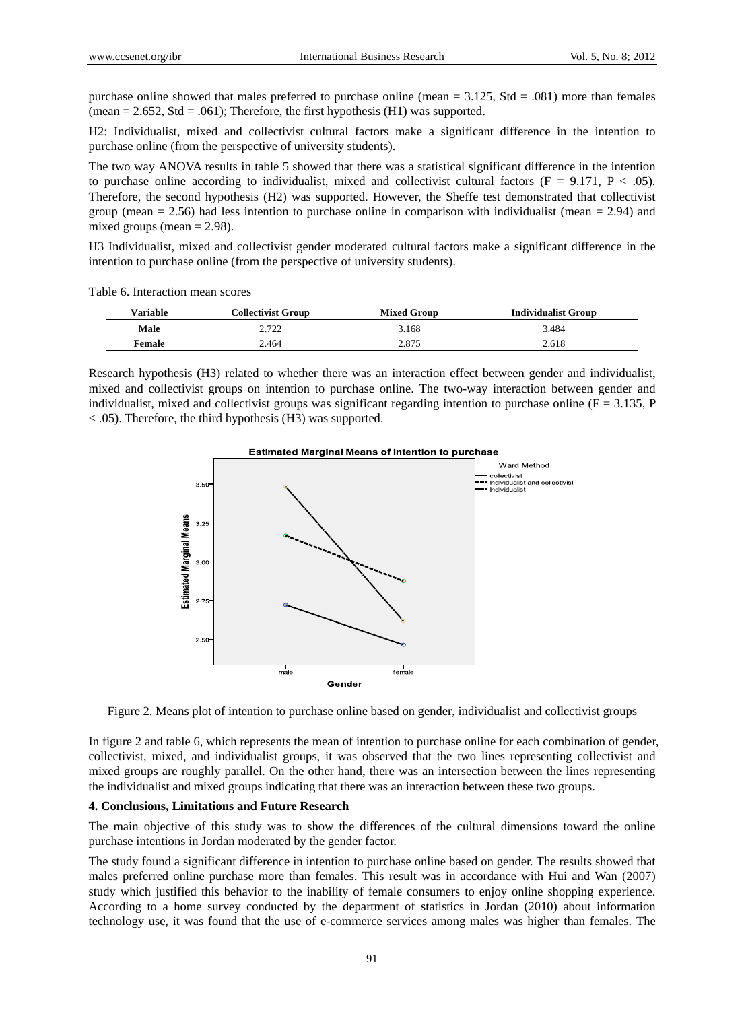purchase online showed that males preferred to purchase online (mean  $= 3.125$ , Std  $= .081$ ) more than females (mean  $= 2.652$ , Std  $= .061$ ); Therefore, the first hypothesis (H1) was supported.

H2: Individualist, mixed and collectivist cultural factors make a significant difference in the intention to purchase online (from the perspective of university students).

The two way ANOVA results in table 5 showed that there was a statistical significant difference in the intention to purchase online according to individualist, mixed and collectivist cultural factors ( $F = 9.171$ ,  $P < .05$ ). Therefore, the second hypothesis (H2) was supported. However, the Sheffe test demonstrated that collectivist group (mean  $= 2.56$ ) had less intention to purchase online in comparison with individualist (mean  $= 2.94$ ) and mixed groups (mean  $= 2.98$ ).

H3 Individualist, mixed and collectivist gender moderated cultural factors make a significant difference in the intention to purchase online (from the perspective of university students).

Table 6. Interaction mean scores

| <b>Variable</b> | Collectivist Group | <b>Mixed Group</b> | <b>Individualist Group</b> |
|-----------------|--------------------|--------------------|----------------------------|
| Male            | 2.72<br>2. I 22    | 3.168              | 3.484                      |
| <b>Female</b>   | 2.464              | 2.875              | 2.618                      |

Research hypothesis (H3) related to whether there was an interaction effect between gender and individualist, mixed and collectivist groups on intention to purchase online. The two-way interaction between gender and individualist, mixed and collectivist groups was significant regarding intention to purchase online ( $F = 3.135$ , P < .05). Therefore, the third hypothesis (H3) was supported.



**Estimated Marginal Means of Intention to purchase** 

Figure 2. Means plot of intention to purchase online based on gender, individualist and collectivist groups

In figure 2 and table 6, which represents the mean of intention to purchase online for each combination of gender, collectivist, mixed, and individualist groups, it was observed that the two lines representing collectivist and mixed groups are roughly parallel. On the other hand, there was an intersection between the lines representing the individualist and mixed groups indicating that there was an interaction between these two groups.

#### **4. Conclusions, Limitations and Future Research**

The main objective of this study was to show the differences of the cultural dimensions toward the online purchase intentions in Jordan moderated by the gender factor.

The study found a significant difference in intention to purchase online based on gender. The results showed that males preferred online purchase more than females. This result was in accordance with Hui and Wan (2007) study which justified this behavior to the inability of female consumers to enjoy online shopping experience. According to a home survey conducted by the department of statistics in Jordan (2010) about information technology use, it was found that the use of e-commerce services among males was higher than females. The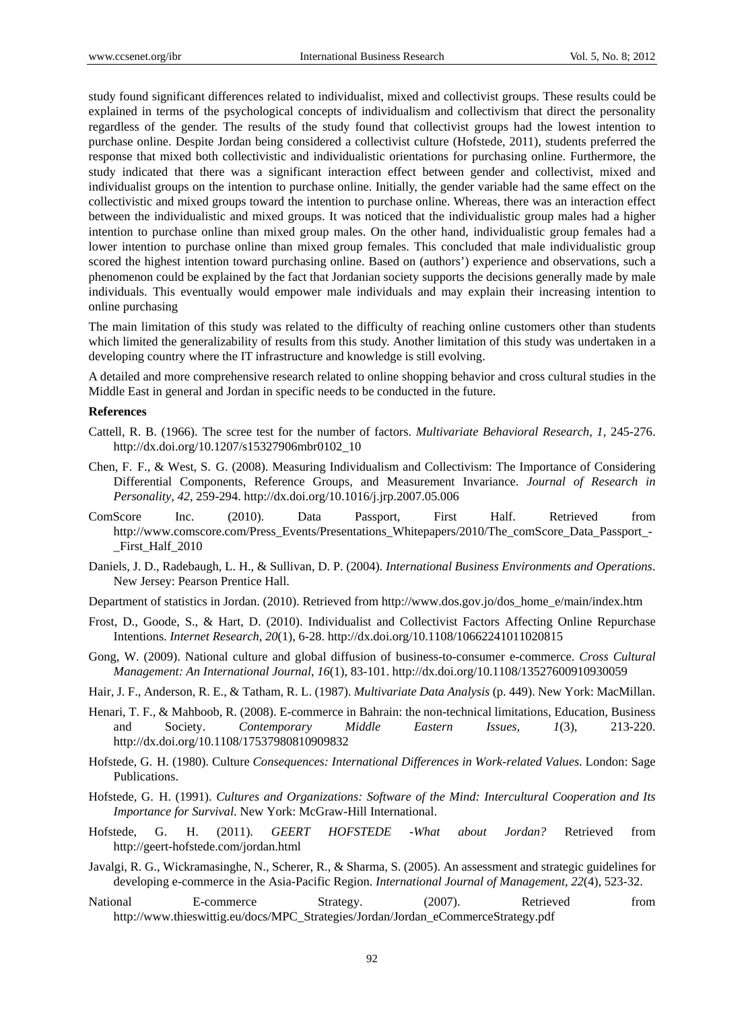study found significant differences related to individualist, mixed and collectivist groups. These results could be explained in terms of the psychological concepts of individualism and collectivism that direct the personality regardless of the gender. The results of the study found that collectivist groups had the lowest intention to purchase online. Despite Jordan being considered a collectivist culture (Hofstede, 2011), students preferred the response that mixed both collectivistic and individualistic orientations for purchasing online. Furthermore, the study indicated that there was a significant interaction effect between gender and collectivist, mixed and individualist groups on the intention to purchase online. Initially, the gender variable had the same effect on the collectivistic and mixed groups toward the intention to purchase online. Whereas, there was an interaction effect between the individualistic and mixed groups. It was noticed that the individualistic group males had a higher intention to purchase online than mixed group males. On the other hand, individualistic group females had a lower intention to purchase online than mixed group females. This concluded that male individualistic group scored the highest intention toward purchasing online. Based on (authors') experience and observations, such a phenomenon could be explained by the fact that Jordanian society supports the decisions generally made by male individuals. This eventually would empower male individuals and may explain their increasing intention to online purchasing

The main limitation of this study was related to the difficulty of reaching online customers other than students which limited the generalizability of results from this study. Another limitation of this study was undertaken in a developing country where the IT infrastructure and knowledge is still evolving.

A detailed and more comprehensive research related to online shopping behavior and cross cultural studies in the Middle East in general and Jordan in specific needs to be conducted in the future.

## **References**

- Cattell, R. B. (1966). The scree test for the number of factors. *Multivariate Behavioral Research, 1*, 245-276. http://dx.doi.org/10.1207/s15327906mbr0102\_10
- Chen, F. F., & West, S. G. (2008). Measuring Individualism and Collectivism: The Importance of Considering Differential Components, Reference Groups, and Measurement Invariance. *Journal of Research in Personality, 42*, 259-294. http://dx.doi.org/10.1016/j.jrp.2007.05.006
- ComScore Inc. (2010). Data Passport, First Half. Retrieved from http://www.comscore.com/Press\_Events/Presentations\_Whitepapers/2010/The\_comScore\_Data\_Passport\_- \_First\_Half\_2010
- Daniels, J. D., Radebaugh, L. H., & Sullivan, D. P. (2004). *International Business Environments and Operations*. New Jersey: Pearson Prentice Hall.
- Department of statistics in Jordan. (2010). Retrieved from http://www.dos.gov.jo/dos\_home\_e/main/index.htm
- Frost, D., Goode, S., & Hart, D. (2010). Individualist and Collectivist Factors Affecting Online Repurchase Intentions. *Internet Research, 20*(1), 6-28. http://dx.doi.org/10.1108/10662241011020815
- Gong, W. (2009). National culture and global diffusion of business-to-consumer e-commerce. *Cross Cultural Management: An International Journal, 16*(1), 83-101. http://dx.doi.org/10.1108/13527600910930059
- Hair, J. F., Anderson, R. E., & Tatham, R. L. (1987). *Multivariate Data Analysis* (p. 449). New York: MacMillan.
- Henari, T. F., & Mahboob, R. (2008). E-commerce in Bahrain: the non-technical limitations, Education, Business and Society. *Contemporary Middle Eastern Issues, 1*(3), 213-220. http://dx.doi.org/10.1108/17537980810909832
- Hofstede, G. H. (1980). Culture *Consequences: International Differences in Work-related Values*. London: Sage Publications.
- Hofstede, G. H. (1991). *Cultures and Organizations: Software of the Mind: Intercultural Cooperation and Its Importance for Survival*. New York: McGraw-Hill International.
- Hofstede, G. H. (2011). *GEERT HOFSTEDE -What about Jordan?* Retrieved from http://geert-hofstede.com/jordan.html
- Javalgi, R. G., Wickramasinghe, N., Scherer, R., & Sharma, S. (2005). An assessment and strategic guidelines for developing e-commerce in the Asia-Pacific Region. *International Journal of Management, 22*(4), 523-32.
- National E-commerce Strategy. (2007). Retrieved from http://www.thieswittig.eu/docs/MPC\_Strategies/Jordan/Jordan\_eCommerceStrategy.pdf